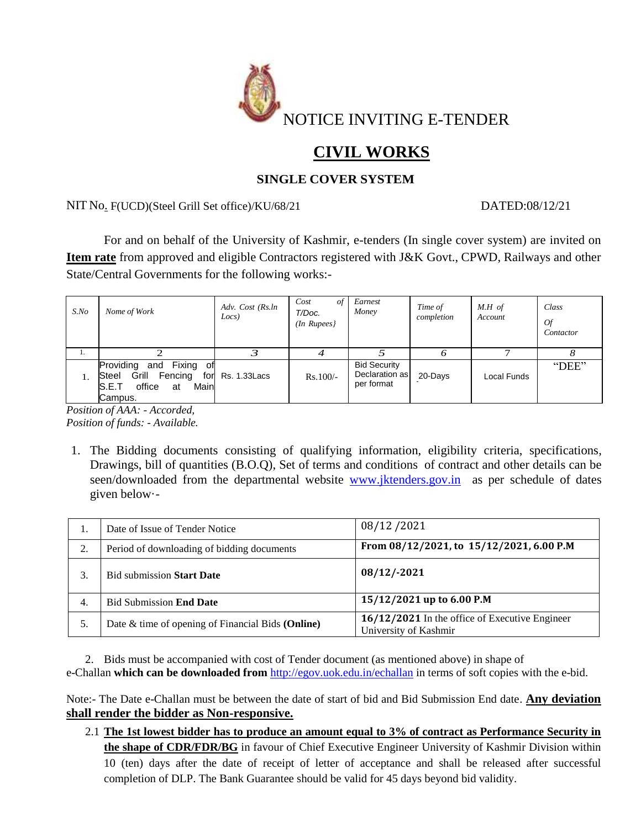

# **CIVIL WORKS**

## **SINGLE COVER SYSTEM**

NIT No. F(UCD)(Steel Grill Set office)/KU/68/21 DATED:08/12/21

For and on behalf of the University of Kashmir, e-tenders (In single cover system) are invited on **Item rate** from approved and eligible Contractors registered with J&K Govt., CPWD, Railways and other State/Central Governments for the following works:-

| $S$ .No | Nome of Work                                                                                                  | Adv. Cost (Rs.ln<br>Locs) | Cost<br>of<br>T/Doc.<br>$(In$ Rupees $)$ | Earnest<br>Money                                    | Time of<br>completion | $M.H$ of<br>Account | Class<br>0f<br>Contactor |
|---------|---------------------------------------------------------------------------------------------------------------|---------------------------|------------------------------------------|-----------------------------------------------------|-----------------------|---------------------|--------------------------|
| 1.      |                                                                                                               | 3                         | 4                                        |                                                     | O                     |                     |                          |
|         | Providing<br>Fixing of<br>and<br>Fencing<br>Steel<br>Grill<br>for<br>office<br>Main<br>S.E.T<br>at<br>Campus. | Rs. 1.33 Lacs             | $Rs.100/-$                               | <b>Bid Security</b><br>Declaration as<br>per format | 20-Days               | Local Funds         | "DEE"                    |

*Position of AAA: - Accorded, Position of funds: - Available.*

1. The Bidding documents consisting of qualifying information, eligibility criteria, specifications, Drawings, bill of quantities (B.O.Q), Set of terms and conditions of contract and other details can be seen/downloaded from the departmental website [www.jktenders.gov.in](http://www.jktenders.gov.in/) as per schedule of dates given below·-

| 1. | Date of Issue of Tender Notice                    | 08/12/2021                                                              |  |  |  |
|----|---------------------------------------------------|-------------------------------------------------------------------------|--|--|--|
| 2. | Period of downloading of bidding documents        | From 08/12/2021, to 15/12/2021, 6.00 P.M                                |  |  |  |
| 3. | <b>Bid submission Start Date</b>                  | $08/12/-2021$                                                           |  |  |  |
| 4. | <b>Bid Submission End Date</b>                    | 15/12/2021 up to 6.00 P.M                                               |  |  |  |
| 5. | Date & time of opening of Financial Bids (Online) | 16/12/2021 In the office of Executive Engineer<br>University of Kashmir |  |  |  |

2. Bids must be accompanied with cost of Tender document (as mentioned above) in shape of e-Challan **which can be downloaded from** <http://egov.uok.edu.in/echallan> in terms of soft copies with the e-bid.

Note:- The Date e-Challan must be between the date of start of bid and Bid Submission End date. **Any deviation shall render the bidder as Non-responsive.**

2.1 **The 1st lowest bidder has to produce an amount equal to 3% of contract as Performance Security in the shape of CDR/FDR/BG** in favour of Chief Executive Engineer University of Kashmir Division within 10 (ten) days after the date of receipt of letter of acceptance and shall be released after successful completion of DLP. The Bank Guarantee should be valid for 45 days beyond bid validity.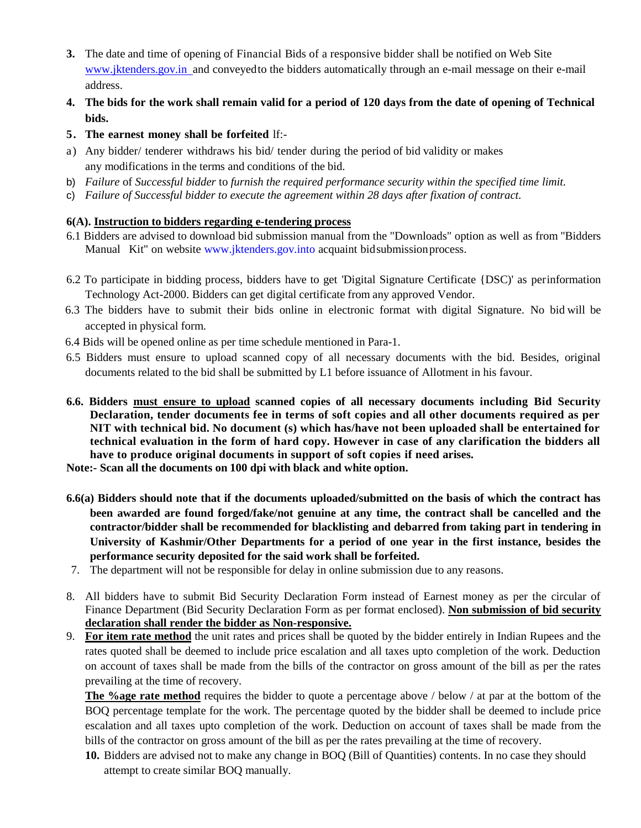- **3.** The date and time of opening of Financial Bids of a responsive bidder shall be notified on Web Site www.jktenders.gov.in and conveyed to the bidders automatically through an e-mail message on their e-mail address.
- 4. The bids for the work shall remain valid for a period of 120 days from the date of opening of Technical **bids.**
- **5. The earnest money shall be forfeited** lf:-
- a) Any bidder/ tenderer withdraws his bid/ tender during the period of bid validity or makes any modifications in the terms and conditions of the bid.
- b) *Failure* of *Successful bidder* to *furnish the required performance security within the specified time limit.*
- c) *Failure of Successful bidder to execute the agreement within 28 days after fixation of contract.*

### **6(A). Instruction to bidders regarding e-tendering process**

- 6.1 Bidders are advised to download bid submission manual from the "Downloads" option as well as from "Bidders Manual Kit" on website [www.jktenders.gov.into](http://www.jktenders.gov.into/) acquaint bid submission process.
- 6.2 To participate in bidding process, bidders have to get 'Digital Signature Certificate {DSC)' as perinformation Technology Act-2000. Bidders can get digital certificate from any approved Vendor.
- 6.3 The bidders have to submit their bids online in electronic format with digital Signature. No bid will be accepted in physical form.
- 6.4 Bids will be opened online as per time schedule mentioned in Para-1.
- 6.5 Bidders must ensure to upload scanned copy of all necessary documents with the bid. Besides, original documents related to the bid shall be submitted by L1 before issuance of Allotment in his favour.
- **6.6. Bidders must ensure to upload scanned copies of all necessary documents including Bid Security Declaration, tender documents fee in terms of soft copies and all other documents required as per NIT with technical bid. No document (s) which has/have not been uploaded shall be entertained for technical evaluation in the form of hard copy. However in case of any clarification the bidders all have to produce original documents in support of soft copies if need arises.**

**Note:- Scan all the documents on 100 dpi with black and white option.**

- **6.6(a) Bidders should note that if the documents uploaded/submitted on the basis of which the contract has been awarded are found forged/fake/not genuine at any time, the contract shall be cancelled and the contractor/bidder shall be recommended for blacklisting and debarred from taking part in tendering in University of Kashmir/Other Departments for a period of one year in the first instance, besides the performance security deposited for the said work shall be forfeited.**
- 7. The department will not be responsible for delay in online submission due to any reasons.
- 8. All bidders have to submit Bid Security Declaration Form instead of Earnest money as per the circular of Finance Department (Bid Security Declaration Form as per format enclosed). **Non submission of bid security declaration shall render the bidder as Non-responsive.**
- 9. **For item rate method** the unit rates and prices shall be quoted by the bidder entirely in Indian Rupees and the rates quoted shall be deemed to include price escalation and all taxes upto completion of the work. Deduction on account of taxes shall be made from the bills of the contractor on gross amount of the bill as per the rates prevailing at the time of recovery.

**The %age rate method** requires the bidder to quote a percentage above / below / at par at the bottom of the BOQ percentage template for the work. The percentage quoted by the bidder shall be deemed to include price escalation and all taxes upto completion of the work. Deduction on account of taxes shall be made from the bills of the contractor on gross amount of the bill as per the rates prevailing at the time of recovery.

**10.** Bidders are advised not to make any change in BOQ (Bill of Quantities) contents. In no case they should attempt to create similar BOQ manually.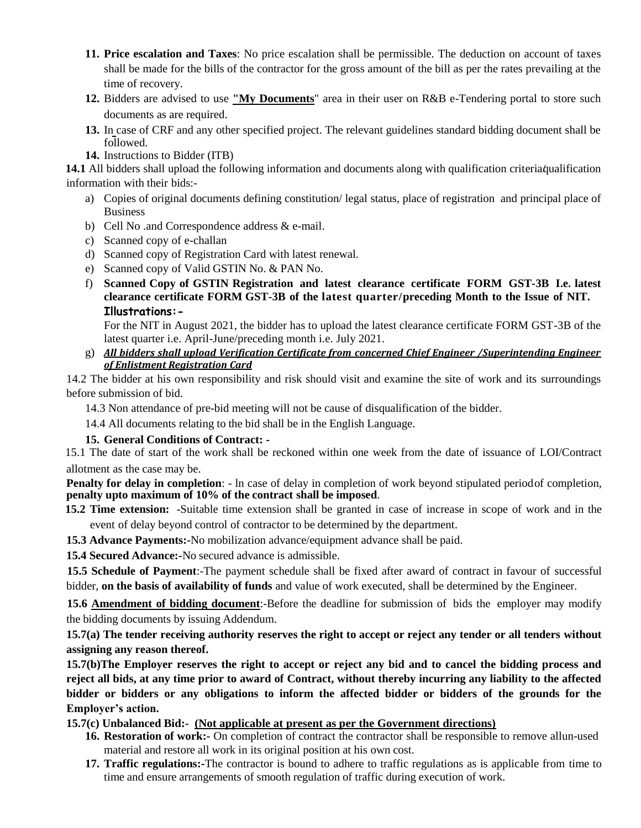- **11. Price escalation and Taxes**: No price escalation shall be permissible. The deduction on account of taxes shall be made for the bills of the contractor for the gross amount of the bill as per the rates prevailing at the time of recovery.
- **12.** Bidders are advised to use **"My Documents**" area in their user on R&B e-Tendering portal to store such documents as are required.
- **13.** In case of CRF and any other specified project. The relevant guidelines standard bidding document shall be followed.
- **14.** Instructions to Bidder (ITB)

**14.1** All bidders shall upload the following information and documents along with qualification criteria qualification information with their bids:-

- a) Copies of original documents defining constitution/ legal status, place of registration and principal place of Business
- b) Cell No .and Correspondence address & e-mail.
- c) Scanned copy of e-challan
- d) Scanned copy of Registration Card with latest renewal.
- e) Scanned copy of Valid GSTIN No. & PAN No.
- f) **Scanned Copy of GSTIN Registration and latest clearance certificate FORM GST-3B I.e. latest clearance certificate FORM GST-3B of the latest quarter/preceding Month to the Issue of NIT. Illustrations:-**

For the NIT in August 2021, the bidder has to upload the latest clearance certificate FORM GST-3B of the latest quarter i.e. April-June/preceding month i.e. July 2021.

g) *All bidders shall upload Verification Certificate from concerned Chief Engineer /Superintending Engineer of Enlistment Registration Card*

14.2 The bidder at his own responsibility and risk should visit and examine the site of work and its surroundings before submission of bid.

14.3 Non attendance of pre-bid meeting will not be cause of disqualification of the bidder.

14.4 All documents relating to the bid shall be in the English Language.

#### **15. General Conditions of Contract: -**

15.1 The date of start of the work shall be reckoned within one week from the date of issuance of LOI/Contract allotment as the case may be.

**Penalty for delay in completion**: - ln case of delay in completion of work beyond stipulated periodof completion, **penalty upto maximum of 10% of the contract shall be imposed**.

- **15.2 Time extension:** -Suitable time extension shall be granted in case of increase in scope of work and in the event of delay beyond control of contractor to be determined by the department.
- **15.3 Advance Payments:-**No mobilization advance/equipment advance shall be paid.
- **15.4 Secured Advance:-**No secured advance is admissible.

**15.5 Schedule of Payment**:-The payment schedule shall be fixed after award of contract in favour of successful bidder, **on the basis of availability of funds** and value of work executed, shall be determined by the Engineer.

**15.6 Amendment of bidding document:**-Before the deadline for submission of bids the employer may modify the bidding documents by issuing Addendum.

**15.7(a) The tender receiving authority reserves the right to accept or reject any tender or all tenders without assigning any reason thereof.**

**15.7(b)The Employer reserves the right to accept or reject any bid and to cancel the bidding process and reject all bids, at any time prior to award of Contract, without thereby incurring any liability to the affected bidder or bidders or any obligations to inform the affected bidder or bidders of the grounds for the Employer's action.**

**15.7(c) Unbalanced Bid:- (Not applicable at present as per the Government directions)**

- **16. Restoration of work:-** On completion of contract the contractor shall be responsible to remove allun-used material and restore all work in its original position at his own cost.
- **17. Traffic regulations:-**The contractor is bound to adhere to traffic regulations as is applicable from time to time and ensure arrangements of smooth regulation of traffic during execution of work.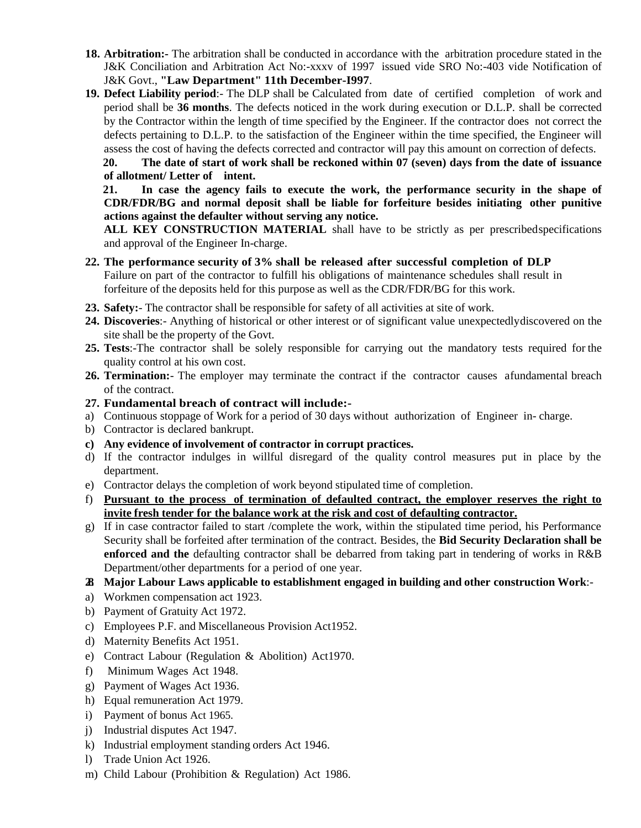- **18. Arbitration:-** The arbitration shall be conducted in accordance with the arbitration procedure stated in the J&K Conciliation and Arbitration Act No:-xxxv of 1997 issued vide SRO No:-403 vide Notification of J&K Govt., **"Law Department" 11th December-I997**.
- **19. Defect Liability period**:- The DLP shall be Calculated from date of certified completion of work and period shall be **36 months**. The defects noticed in the work during execution or D.L.P. shall be corrected by the Contractor within the length of time specified by the Engineer. If the contractor does not correct the defects pertaining to D.L.P. to the satisfaction of the Engineer within the time specified, the Engineer will assess the cost of having the defects corrected and contractor will pay this amount on correction of defects.

**20. The date of start of work shall be reckoned within 07 (seven) days from the date of issuance of allotment/ Letter of intent.** 

**21. In case the agency fails to execute the work, the performance security in the shape of CDR/FDR/BG and normal deposit shall be liable for forfeiture besides initiating other punitive actions against the defaulter without serving any notice.**

**ALL KEY CONSTRUCTION MATERIAL** shall have to be strictly as per prescribedspecifications and approval of the Engineer In-charge.

- **22. The performance security of 3% shall be released after successful completion of DLP** Failure on part of the contractor to fulfill his obligations of maintenance schedules shall result in forfeiture of the deposits held for this purpose as well as the CDR/FDR/BG for this work.
- **23. Safety:** The contractor shall be responsible for safety of all activities at site of work.
- **24. Discoveries**:- Anything of historical or other interest or of significant value unexpectedlydiscovered on the site shall be the property of the Govt.
- **25. Tests**:-The contractor shall be solely responsible for carrying out the mandatory tests required for the quality control at his own cost.
- **26. Termination:** The employer may terminate the contract if the contractor causes afundamental breach of the contract.

#### **27. Fundamental breach of contract will include:-**

- a) Continuous stoppage of Work for a period of 30 days without authorization of Engineer in- charge.
- b) Contractor is declared bankrupt.
- **c) Any evidence of involvement of contractor in corrupt practices.**
- d) If the contractor indulges in willful disregard of the quality control measures put in place by the department.
- e) Contractor delays the completion of work beyond stipulated time of completion.
- f) **Pursuant to the process of termination of defaulted contract, the employer reserves the right to invite fresh tender for the balance work at the risk and cost of defaulting contractor.**
- g) If in case contractor failed to start /complete the work, within the stipulated time period, his Performance Security shall be forfeited after termination of the contract. Besides, the **Bid Security Declaration shall be enforced and the** defaulting contractor shall be debarred from taking part in tendering of works in R&B Department/other departments for a period of one year.
- **28. Major Labour Laws applicable to establishment engaged in building and other construction Work**:-
- a) Workmen compensation act 1923.
- b) Payment of Gratuity Act 1972.
- c) Employees P.F. and Miscellaneous Provision Act1952.
- d) Maternity Benefits Act 1951.
- e) Contract Labour (Regulation & Abolition) Act1970.
- f) Minimum Wages Act 1948.
- g) Payment of Wages Act 1936.
- h) Equal remuneration Act 1979.
- i) Payment of bonus Act 1965.
- j) Industrial disputes Act 1947.
- k) Industrial employment standing orders Act 1946.
- l) Trade Union Act 1926.
- m) Child Labour (Prohibition & Regulation) Act 1986.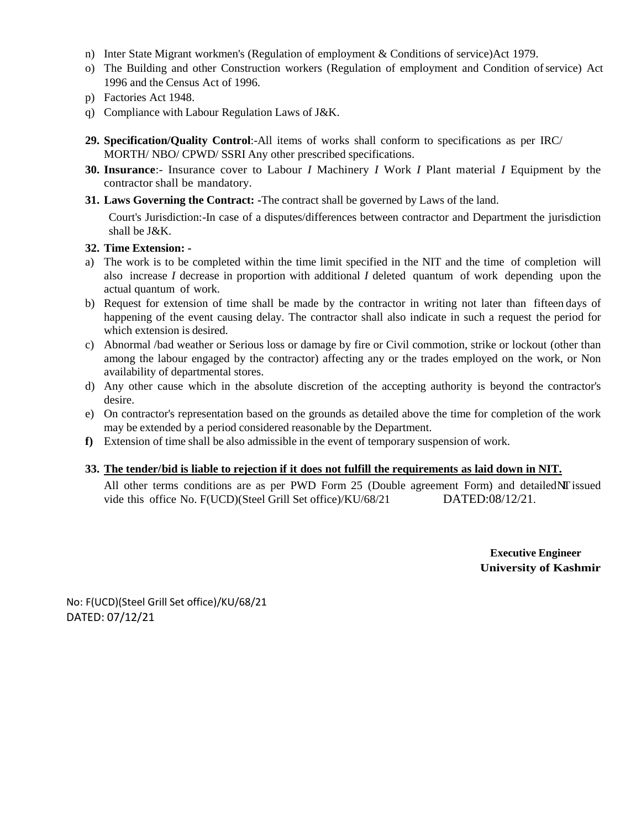- n) Inter State Migrant workmen's (Regulation of employment & Conditions of service)Act 1979.
- o) The Building and other Construction workers (Regulation of employment and Condition ofservice) Act 1996 and the Census Act of 1996.
- p) Factories Act 1948.
- q) Compliance with Labour Regulation Laws of J&K.
- **29. Specification/Quality Control**:-All items of works shall conform to specifications as per IRC/ MORTH/ NBO/ CPWD/ SSRI Any other prescribed specifications.
- **30. Insurance**:- Insurance cover to Labour *I* Machinery *I* Work *I* Plant material *I* Equipment by the contractor shall be mandatory.
- **31. Laws Governing the Contract: -**The contract shall be governed by Laws of the land.

Court's Jurisdiction:-In case of a disputes/differences between contractor and Department the jurisdiction shall be J&K.

#### **32. Time Extension: -**

- a) The work is to be completed within the time limit specified in the NIT and the time of completion will also increase *I* decrease in proportion with additional *I* deleted quantum of work depending upon the actual quantum of work.
- b) Request for extension of time shall be made by the contractor in writing not later than fifteen days of happening of the event causing delay. The contractor shall also indicate in such a request the period for which extension is desired.
- c) Abnormal /bad weather or Serious loss or damage by fire or Civil commotion, strike or lockout (other than among the labour engaged by the contractor) affecting any or the trades employed on the work, or Non availability of departmental stores.
- d) Any other cause which in the absolute discretion of the accepting authority is beyond the contractor's desire.
- e) On contractor's representation based on the grounds as detailed above the time for completion of the work may be extended by a period considered reasonable by the Department.
- **f)** Extension of time shall be also admissible in the event of temporary suspension of work.

#### **33. The tender/bid is liable to rejection if it does not fulfill the requirements as laid down in NIT.**

All other terms conditions are as per PWD Form  $25$  (Double agreement Form) and detailed $N\Gamma$  issued vide this office No. F(UCD)(Steel Grill Set office)/KU/68/21 DATED:08/12/21.

> **Executive Engineer University of Kashmir**

No: F(UCD)(Steel Grill Set office)/KU/68/21 DATED: 07/12/21